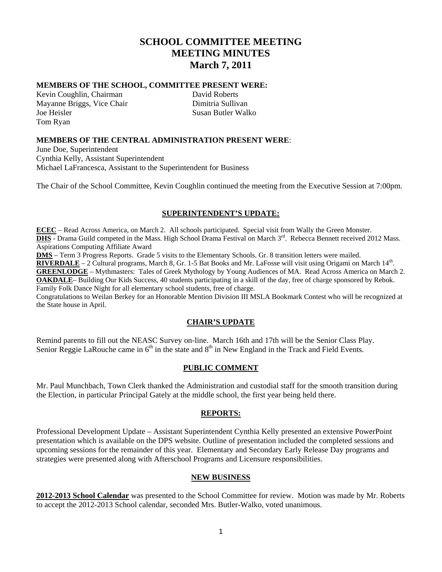# **SCHOOL COMMITTEE MEETING MEETING MINUTES March 7, 2011**

#### **MEMBERS OF THE SCHOOL, COMMITTEE PRESENT WERE:**

Kevin Coughlin, Chairman David Roberts Mayanne Briggs, Vice Chair Dimitria Sullivan Joe Heisler Susan Butler Walko Tom Ryan

# **MEMBERS OF THE CENTRAL ADMINISTRATION PRESENT WERE**:

June Doe, Superintendent Cynthia Kelly, Assistant Superintendent Michael LaFrancesca, Assistant to the Superintendent for Business

The Chair of the School Committee, Kevin Coughlin continued the meeting from the Executive Session at 7:00pm.

#### **SUPERINTENDENT'S UPDATE:**

**ECEC** – Read Across America, on March 2. All schools participated. Special visit from Wally the Green Monster. **DHS** - Drama Guild competed in the Mass. High School Drama Festival on March 3<sup>rd</sup>. Rebecca Bennett received 2012 Mass. Aspirations Computing Affiliate Award

**DMS** – Term 3 Progress Reports. Grade 5 visits to the Elementary Schools. Gr. 8 transition letters were mailed.

**RIVERDALE** – 2 Cultural programs, March 8, Gr. 1-5 Bat Books and Mr. LaFosse will visit using Origami on March 14<sup>th</sup>. **GREENLODGE** – Mythmasters: Tales of Greek Mythology by Young Audiences of MA. Read Across America on March 2. **OAKDALE**– Building Our Kids Success, 40 students participating in a skill of the day, free of charge sponsored by Rebok. Family Folk Dance Night for all elementary school students, free of charge.

Congratulations to Weilan Berkey for an Honorable Mention Division III MSLA Bookmark Contest who will be recognized at the State house in April.

#### **CHAIR'S UPDATE**

Remind parents to fill out the NEASC Survey on-line. March 16th and 17th will be the Senior Class Play. Senior Reggie LaRouche came in  $6<sup>th</sup>$  in the state and  $8<sup>th</sup>$  in New England in the Track and Field Events.

#### **PUBLIC COMMENT**

Mr. Paul Munchbach, Town Clerk thanked the Administration and custodial staff for the smooth transition during the Election, in particular Principal Gately at the middle school, the first year being held there.

#### **REPORTS:**

Professional Development Update – Assistant Superintendent Cynthia Kelly presented an extensive PowerPoint presentation which is available on the DPS website. Outline of presentation included the completed sessions and upcoming sessions for the remainder of this year. Elementary and Secondary Early Release Day programs and strategies were presented along with Afterschool Programs and Licensure responsibilities.

#### **NEW BUSINESS**

**2012-2013 School Calendar** was presented to the School Committee for review. Motion was made by Mr. Roberts to accept the 2012-2013 School calendar, seconded Mrs. Butler-Walko, voted unanimous.